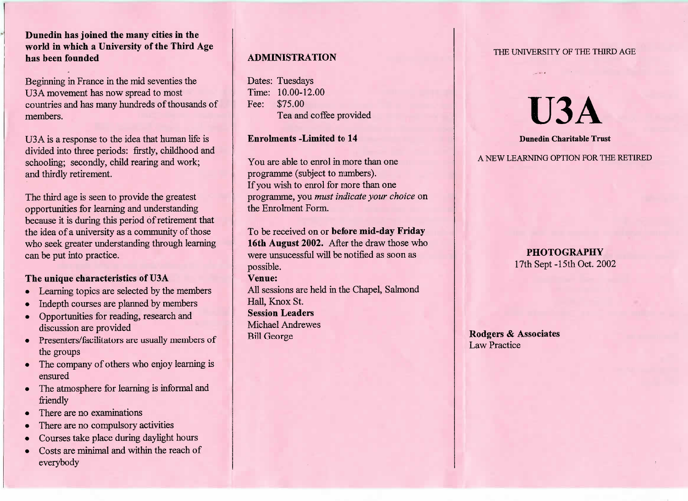**Dunedin has joined the many cities in the world in which a University of the Third Agehas been founded**

Beginning in France in the mid seventies theUSA movement has now spread to most countries and has many hundreds of thousands ofmembers.

USA is a response to the idea that human life is divided into three periods: firstly, childhood andschooling; secondly, child rearing and work;and thirdly retirement.

The third age is seen to provide the greatest opportunities for learning and understanding because it is during this period of retirement that the idea of a university as a community of those who seek greater understanding through learningcan be put into practice.

# **The unique characteristics of U3A**

- Learning topics are selected by the members
- Indepth courses are planned by members
- Opportunities for reading, research anddiscussion are provided
- Presenters/facilitators are usually members ofthe groups
- The company of others who enjoy learning isensured
- The atmosphere for learning is informal andfriendly
- There are no examinations
- There are no compulsory activities
- Courses take place during daylight hours
- Costs are minimal and within the reach of everybody

# **ADMINISTRATION**

Dates: Tuesdays Time: 10.00-12.00Fee: \$75.00Tea and coffee provided

## **Enrolments -Limited to 14**

You are able to enrol in more than oneprogramme (subject to numbers). If you wish to enrol for more than one programme, you *must indicate your choice* onthe Enrolment Form.

To be received on or **before mid-day Friday 16th August 2002.** After the draw those whowere unsucessful will be notified as soon aspossible.

### **Venue:**

 All sessions are held in the Chapel, SalmondHall, Knox St.**Session Leaders** Michael AndrewesBill George

#### THE UNIVERSITY OF THE THIRD AGE

# **U3A**

#### **Dunedin Charitable Trust**

A NEW LEARNING OPTION FOR THE RETIRED

# **PHOTOGRAPHY**17th Sept-15th Oct. 2002

**Rodgers & Associates**Law Practice